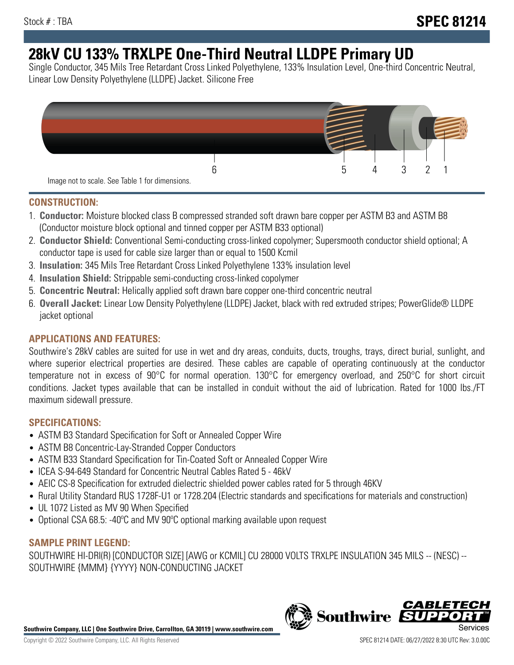# **28kV CU 133% TRXLPE One-Third Neutral LLDPE Primary UD**

Single Conductor, 345 Mils Tree Retardant Cross Linked Polyethylene, 133% Insulation Level, One-third Concentric Neutral, Linear Low Density Polyethylene (LLDPE) Jacket. Silicone Free



# **CONSTRUCTION:**

- 1. **Conductor:** Moisture blocked class B compressed stranded soft drawn bare copper per ASTM B3 and ASTM B8 (Conductor moisture block optional and tinned copper per ASTM B33 optional)
- 2. **Conductor Shield:** Conventional Semi-conducting cross-linked copolymer; Supersmooth conductor shield optional; A conductor tape is used for cable size larger than or equal to 1500 Kcmil
- 3. **Insulation:** 345 Mils Tree Retardant Cross Linked Polyethylene 133% insulation level
- 4. **Insulation Shield:** Strippable semi-conducting cross-linked copolymer
- 5. **Concentric Neutral:** Helically applied soft drawn bare copper one-third concentric neutral
- 6. **Overall Jacket:** Linear Low Density Polyethylene (LLDPE) Jacket, black with red extruded stripes; PowerGlide® LLDPE jacket optional

# **APPLICATIONS AND FEATURES:**

Southwire's 28kV cables are suited for use in wet and dry areas, conduits, ducts, troughs, trays, direct burial, sunlight, and where superior electrical properties are desired. These cables are capable of operating continuously at the conductor temperature not in excess of 90°C for normal operation. 130°C for emergency overload, and 250°C for short circuit conditions. Jacket types available that can be installed in conduit without the aid of lubrication. Rated for 1000 lbs./FT maximum sidewall pressure.

## **SPECIFICATIONS:**

- ASTM B3 Standard Specification for Soft or Annealed Copper Wire
- ASTM B8 Concentric-Lay-Stranded Copper Conductors
- ASTM B33 Standard Specification for Tin-Coated Soft or Annealed Copper Wire
- ICEA S-94-649 Standard for Concentric Neutral Cables Rated 5 46kV
- AEIC CS-8 Specification for extruded dielectric shielded power cables rated for 5 through 46KV
- Rural Utility Standard RUS 1728F-U1 or 1728.204 (Electric standards and specifications for materials and construction)
- UL 1072 Listed as MV 90 When Specified
- Optional CSA 68.5: -40ºC and MV 90ºC optional marking available upon request

# **SAMPLE PRINT LEGEND:**

SOUTHWIRE HI-DRI(R) [CONDUCTOR SIZE] [AWG or KCMIL] CU 28000 VOLTS TRXLPE INSULATION 345 MILS -- (NESC) -- SOUTHWIRE {MMM} {YYYY} NON-CONDUCTING JACKET

**Southwire Company, LLC | One Southwire Drive, Carrollton, GA 30119 | www.southwire.com**